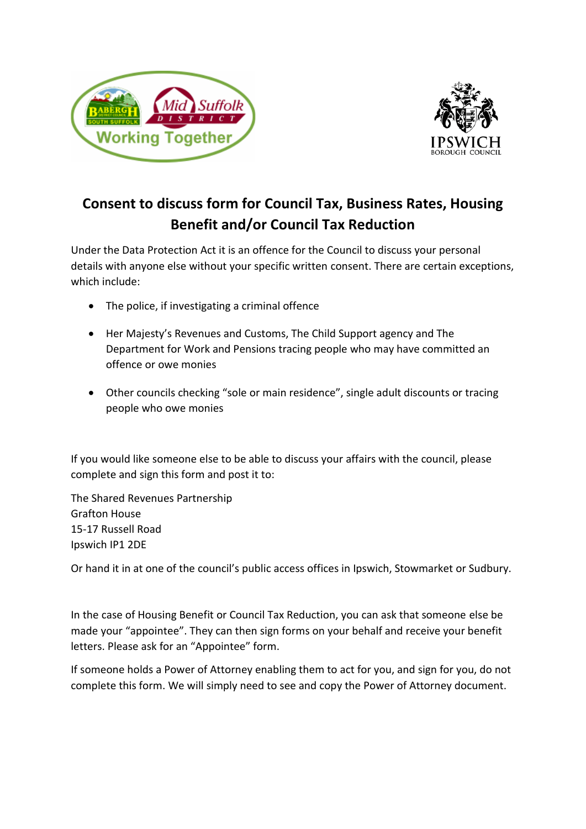



# **Consent to discuss form for Council Tax, Business Rates, Housing Benefit and/or Council Tax Reduction**

Under the Data Protection Act it is an offence for the Council to discuss your personal details with anyone else without your specific written consent. There are certain exceptions, which include:

- The police, if investigating a criminal offence
- Her Majesty's Revenues and Customs, The Child Support agency and The Department for Work and Pensions tracing people who may have committed an offence or owe monies
- Other councils checking "sole or main residence", single adult discounts or tracing people who owe monies

If you would like someone else to be able to discuss your affairs with the council, please complete and sign this form and post it to:

The Shared Revenues Partnership Grafton House 15-17 Russell Road Ipswich IP1 2DE

Or hand it in at one of the council's public access offices in Ipswich, Stowmarket or Sudbury.

In the case of Housing Benefit or Council Tax Reduction, you can ask that someone else be made your "appointee". They can then sign forms on your behalf and receive your benefit letters. Please ask for an "Appointee" form.

If someone holds a Power of Attorney enabling them to act for you, and sign for you, do not complete this form. We will simply need to see and copy the Power of Attorney document.